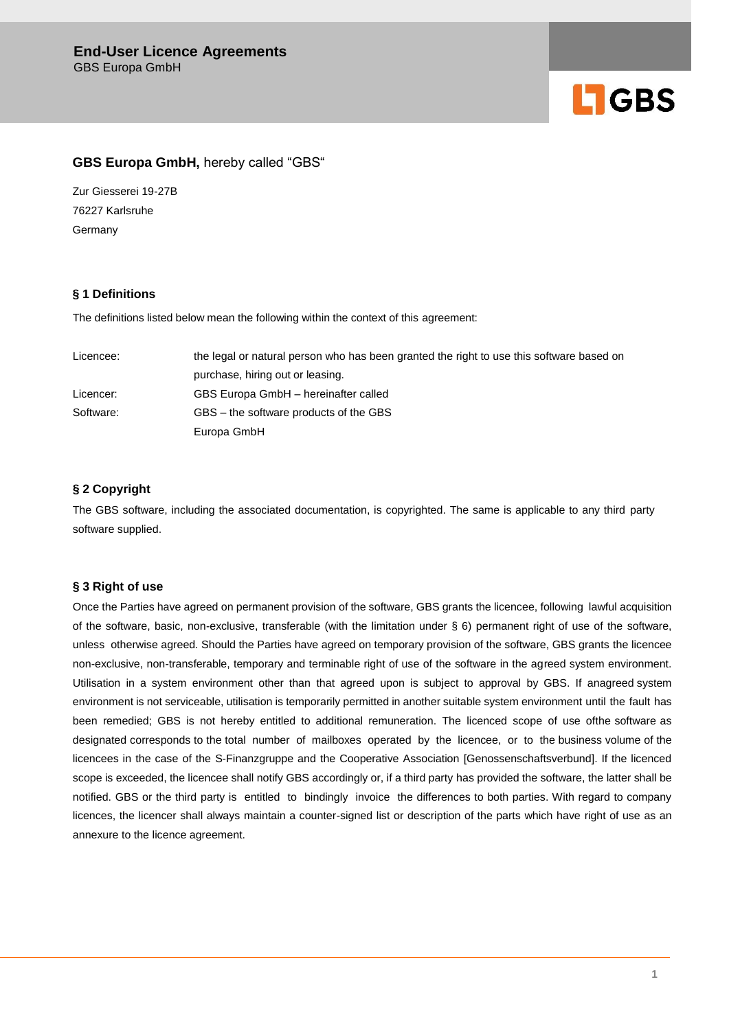

# **GBS Europa GmbH,** hereby called "GBS"

Zur Giesserei 19-27B 76227 Karlsruhe Germany

### **§ 1 Definitions**

The definitions listed below mean the following within the context of this agreement:

| Licencee: | the legal or natural person who has been granted the right to use this software based on |
|-----------|------------------------------------------------------------------------------------------|
|           | purchase, hiring out or leasing.                                                         |
| Licencer: | GBS Europa GmbH - hereinafter called                                                     |
| Software: | GBS – the software products of the GBS                                                   |
|           | Europa GmbH                                                                              |

# **§ 2 Copyright**

The GBS software, including the associated documentation, is copyrighted. The same is applicable to any third party software supplied.

### **§ 3 Right of use**

Once the Parties have agreed on permanent provision of the software, GBS grants the licencee, following lawful acquisition of the software, basic, non-exclusive, transferable (with the limitation under § 6) permanent right of use of the software, unless otherwise agreed. Should the Parties have agreed on temporary provision of the software, GBS grants the licencee non-exclusive, non-transferable, temporary and terminable right of use of the software in the agreed system environment. Utilisation in a system environment other than that agreed upon is subject to approval by GBS. If anagreed system environment is not serviceable, utilisation is temporarily permitted in another suitable system environment until the fault has been remedied; GBS is not hereby entitled to additional remuneration. The licenced scope of use ofthe software as designated corresponds to the total number of mailboxes operated by the licencee, or to the business volume of the licencees in the case of the S-Finanzgruppe and the Cooperative Association [Genossenschaftsverbund]. If the licenced scope is exceeded, the licencee shall notify GBS accordingly or, if a third party has provided the software, the latter shall be notified. GBS or the third party is entitled to bindingly invoice the differences to both parties. With regard to company licences, the licencer shall always maintain a counter-signed list or description of the parts which have right of use as an annexure to the licence agreement.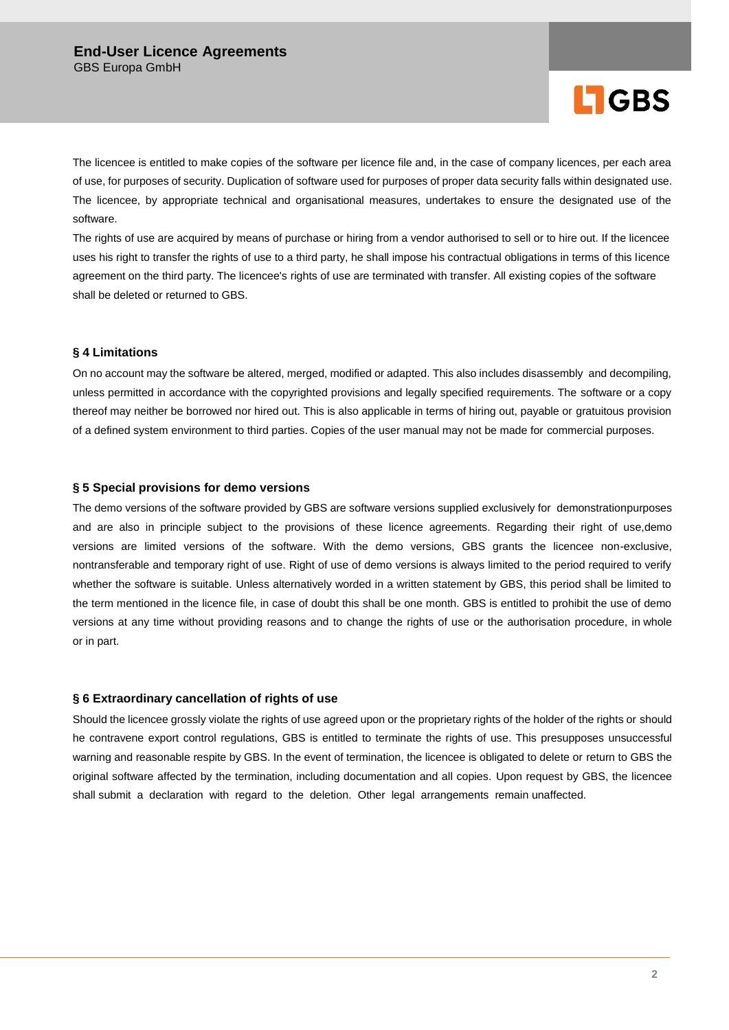

The licencee is entitled to make copies of the software per licence file and, in the case of company licences, per each area of use, for purposes of security. Duplication of software used for purposes of proper data security falls within designated use. The licencee, by appropriate technical and organisational measures, undertakes to ensure the designated use of the software.

The rights of use are acquired by means of purchase or hiring from a vendor authorised to sell or to hire out. If the licencee uses his right to transfer the rights of use to a third party, he shall impose his contractual obligations in terms of this licence agreement on the third party. The licencee's rights of use are terminated with transfer. All existing copies of the software shall be deleted or returned to GBS.

### **§ 4 Limitations**

On no account may the software be altered, merged, modified or adapted. This also includes disassembly and decompiling, unless permitted in accordance with the copyrighted provisions and legally specified requirements. The software or a copy thereof may neither be borrowed nor hired out. This is also applicable in terms of hiring out, payable or gratuitous provision of a defined system environment to third parties. Copies of the user manual may not be made for commercial purposes.

### **§ 5 Special provisions for demo versions**

The demo versions of the software provided by GBS are software versions supplied exclusively for demonstrationpurposes and are also in principle subject to the provisions of these licence agreements. Regarding their right of use,demo versions are limited versions of the software. With the demo versions, GBS grants the licencee non-exclusive, nontransferable and temporary right of use. Right of use of demo versions is always limited to the period required to verify whether the software is suitable. Unless alternatively worded in a written statement by GBS, this period shall be limited to the term mentioned in the licence file, in case of doubt this shall be one month. GBS is entitled to prohibit the use of demo versions at any time without providing reasons and to change the rights of use or the authorisation procedure, in whole or in part.

### **§ 6 Extraordinary cancellation of rights of use**

Should the licencee grossly violate the rights of use agreed upon or the proprietary rights of the holder of the rights or should he contravene export control regulations, GBS is entitled to terminate the rights of use. This presupposes unsuccessful warning and reasonable respite by GBS. In the event of termination, the licencee is obligated to delete or return to GBS the original software affected by the termination, including documentation and all copies. Upon request by GBS, the licencee shall submit a declaration with regard to the deletion. Other legal arrangements remain unaffected.